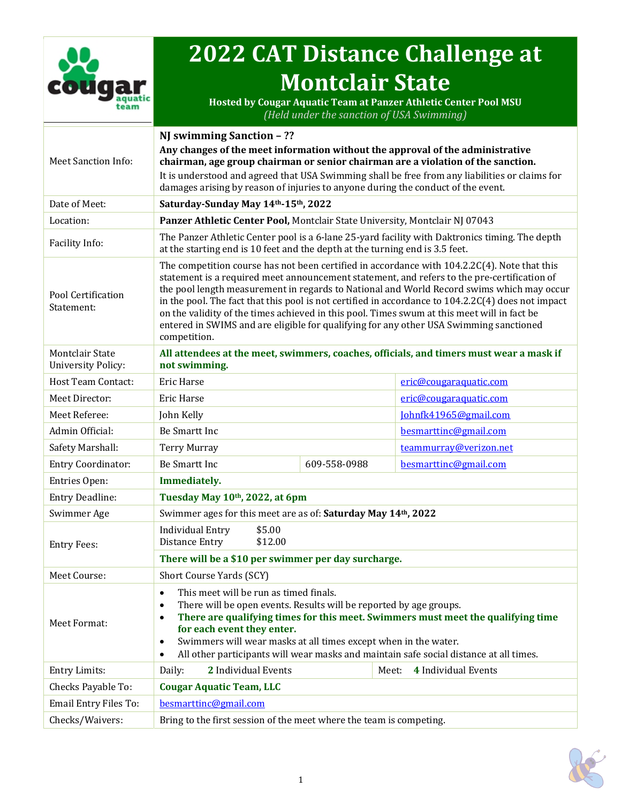

# **2022 CAT Distance Challenge at Montclair State**

**Hosted by Cougar Aquatic Team at Panzer Athletic Center Pool MSU** *(Held under the sanction of USA Swimming)*

|                                                     | NJ swimming Sanction - ??                                                                                                                                                                                                                                                                                                                                                                                                                                                                                                                                                                                 |              |                                                                                                |  |  |
|-----------------------------------------------------|-----------------------------------------------------------------------------------------------------------------------------------------------------------------------------------------------------------------------------------------------------------------------------------------------------------------------------------------------------------------------------------------------------------------------------------------------------------------------------------------------------------------------------------------------------------------------------------------------------------|--------------|------------------------------------------------------------------------------------------------|--|--|
| <b>Meet Sanction Info:</b>                          | Any changes of the meet information without the approval of the administrative<br>chairman, age group chairman or senior chairman are a violation of the sanction.                                                                                                                                                                                                                                                                                                                                                                                                                                        |              |                                                                                                |  |  |
|                                                     | It is understood and agreed that USA Swimming shall be free from any liabilities or claims for                                                                                                                                                                                                                                                                                                                                                                                                                                                                                                            |              |                                                                                                |  |  |
|                                                     | damages arising by reason of injuries to anyone during the conduct of the event.                                                                                                                                                                                                                                                                                                                                                                                                                                                                                                                          |              |                                                                                                |  |  |
| Date of Meet:                                       | Saturday-Sunday May 14th-15th, 2022                                                                                                                                                                                                                                                                                                                                                                                                                                                                                                                                                                       |              |                                                                                                |  |  |
| Location:                                           | Panzer Athletic Center Pool, Montclair State University, Montclair NJ 07043                                                                                                                                                                                                                                                                                                                                                                                                                                                                                                                               |              |                                                                                                |  |  |
| Facility Info:                                      | at the starting end is 10 feet and the depth at the turning end is 3.5 feet.                                                                                                                                                                                                                                                                                                                                                                                                                                                                                                                              |              | The Panzer Athletic Center pool is a 6-lane 25-yard facility with Daktronics timing. The depth |  |  |
| Pool Certification<br>Statement:                    | The competition course has not been certified in accordance with 104.2.2C(4). Note that this<br>statement is a required meet announcement statement, and refers to the pre-certification of<br>the pool length measurement in regards to National and World Record swims which may occur<br>in the pool. The fact that this pool is not certified in accordance to $104.2.2C(4)$ does not impact<br>on the validity of the times achieved in this pool. Times swum at this meet will in fact be<br>entered in SWIMS and are eligible for qualifying for any other USA Swimming sanctioned<br>competition. |              |                                                                                                |  |  |
| <b>Montclair State</b><br><b>University Policy:</b> | All attendees at the meet, swimmers, coaches, officials, and timers must wear a mask if<br>not swimming.                                                                                                                                                                                                                                                                                                                                                                                                                                                                                                  |              |                                                                                                |  |  |
| <b>Host Team Contact:</b>                           | Eric Harse                                                                                                                                                                                                                                                                                                                                                                                                                                                                                                                                                                                                |              | eric@cougaraquatic.com                                                                         |  |  |
| Meet Director:                                      | Eric Harse                                                                                                                                                                                                                                                                                                                                                                                                                                                                                                                                                                                                |              | eric@cougaraquatic.com                                                                         |  |  |
| Meet Referee:                                       | John Kelly                                                                                                                                                                                                                                                                                                                                                                                                                                                                                                                                                                                                |              | Johnfk41965@gmail.com                                                                          |  |  |
| Admin Official:                                     | Be Smartt Inc                                                                                                                                                                                                                                                                                                                                                                                                                                                                                                                                                                                             |              | besmarttinc@gmail.com                                                                          |  |  |
| Safety Marshall:                                    | <b>Terry Murray</b>                                                                                                                                                                                                                                                                                                                                                                                                                                                                                                                                                                                       |              | teammurray@verizon.net                                                                         |  |  |
| <b>Entry Coordinator:</b>                           | Be Smartt Inc                                                                                                                                                                                                                                                                                                                                                                                                                                                                                                                                                                                             | 609-558-0988 | besmarttinc@gmail.com                                                                          |  |  |
| Entries Open:                                       | Immediately.                                                                                                                                                                                                                                                                                                                                                                                                                                                                                                                                                                                              |              |                                                                                                |  |  |
| Entry Deadline:                                     | Tuesday May 10th, 2022, at 6pm                                                                                                                                                                                                                                                                                                                                                                                                                                                                                                                                                                            |              |                                                                                                |  |  |
| Swimmer Age                                         | Swimmer ages for this meet are as of: Saturday May 14th, 2022                                                                                                                                                                                                                                                                                                                                                                                                                                                                                                                                             |              |                                                                                                |  |  |
| <b>Entry Fees:</b>                                  | <b>Individual Entry</b><br>\$5.00<br><b>Distance Entry</b><br>\$12.00                                                                                                                                                                                                                                                                                                                                                                                                                                                                                                                                     |              |                                                                                                |  |  |
|                                                     | There will be a \$10 per swimmer per day surcharge.                                                                                                                                                                                                                                                                                                                                                                                                                                                                                                                                                       |              |                                                                                                |  |  |
| Meet Course:                                        | Short Course Yards (SCY)                                                                                                                                                                                                                                                                                                                                                                                                                                                                                                                                                                                  |              |                                                                                                |  |  |
| Meet Format:                                        | This meet will be run as timed finals.<br>$\bullet$<br>There will be open events. Results will be reported by age groups.<br>٠<br>There are qualifying times for this meet. Swimmers must meet the qualifying time<br>$\bullet$<br>for each event they enter.<br>Swimmers will wear masks at all times except when in the water.<br>$\bullet$<br>All other participants will wear masks and maintain safe social distance at all times.<br>$\bullet$                                                                                                                                                      |              |                                                                                                |  |  |
| <b>Entry Limits:</b>                                | 2 Individual Events<br>Daily:                                                                                                                                                                                                                                                                                                                                                                                                                                                                                                                                                                             |              | Meet:<br>4 Individual Events                                                                   |  |  |
| Checks Payable To:                                  | <b>Cougar Aquatic Team, LLC</b>                                                                                                                                                                                                                                                                                                                                                                                                                                                                                                                                                                           |              |                                                                                                |  |  |
| Email Entry Files To:                               | besmarttinc@gmail.com                                                                                                                                                                                                                                                                                                                                                                                                                                                                                                                                                                                     |              |                                                                                                |  |  |
| Checks/Waivers:                                     | Bring to the first session of the meet where the team is competing.                                                                                                                                                                                                                                                                                                                                                                                                                                                                                                                                       |              |                                                                                                |  |  |

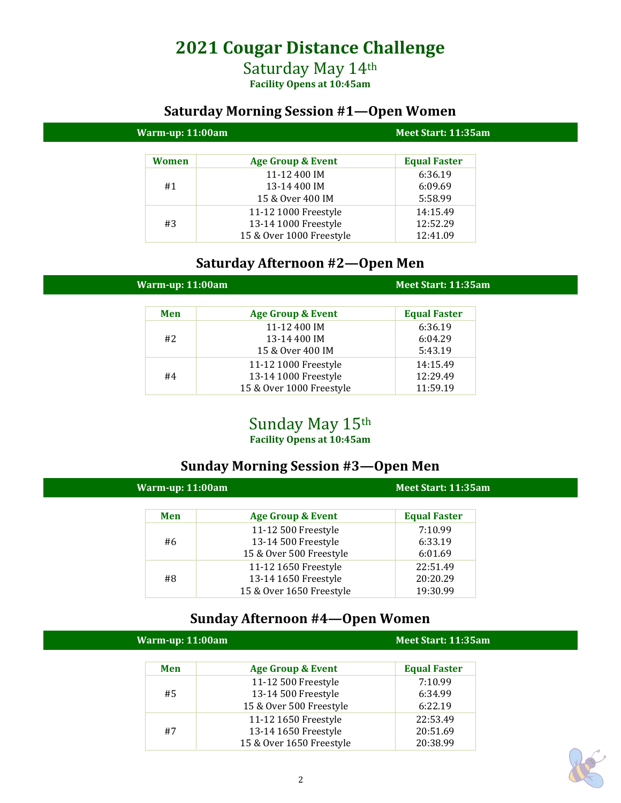# **2021 Cougar Distance Challenge**

### Saturday May 14th **Facility Opens at 10:45am**

# **Saturday Morning Session #1—Open Women**

| Warm-up: 11:00am |                          | Meet Start: 11:35am |  |
|------------------|--------------------------|---------------------|--|
| Women            | Age Group & Event        | <b>Equal Faster</b> |  |
|                  | 11-12 400 IM             | 6:36.19             |  |
| #1               | 13-14 400 IM             | 6:09.69             |  |
|                  | 15 & Over 400 IM         | 5:58.99             |  |
|                  | 11-12 1000 Freestyle     | 14:15.49            |  |
| #3               | 13-14 1000 Freestyle     | 12:52.29            |  |
|                  | 15 & Over 1000 Freestyle | 12:41.09            |  |

### **Saturday Afternoon #2—Open Men**

| Warm-up: 11:00am |                              | Meet Start: 11:35am |
|------------------|------------------------------|---------------------|
| Men              | <b>Age Group &amp; Event</b> | <b>Equal Faster</b> |
|                  | 11-12 400 IM                 | 6:36.19             |
| #2               | 13-14 400 IM                 | 6:04.29             |
|                  | 15 & Over 400 IM             | 5:43.19             |
|                  | 11-12 1000 Freestyle         | 14:15.49            |
| #4               | 13-14 1000 Freestyle         | 12:29.49            |
|                  | 15 & Over 1000 Freestyle     | 11:59.19            |

# Sunday May 15th

**Facility Opens at 10:45am**

# **Sunday Morning Session #3—Open Men**

| Warm-up: $11:00$ am |                              | Meet Start: 11:35am |  |
|---------------------|------------------------------|---------------------|--|
| Men                 | <b>Age Group &amp; Event</b> | <b>Equal Faster</b> |  |
|                     | 11-12 500 Freestyle          | 7:10.99             |  |
| #6                  | 13-14 500 Freestyle          | 6:33.19             |  |
|                     | 15 & Over 500 Freestyle      | 6:01.69             |  |
|                     | 11-12 1650 Freestyle         | 22:51.49            |  |
| #8                  | 13-14 1650 Freestyle         | 20:20.29            |  |
|                     | 15 & Over 1650 Freestyle     | 19:30.99            |  |

# **Sunday Afternoon #4—Open Women**

| Warm-up: 11:00am |                          | Meet Start: 11:35am |
|------------------|--------------------------|---------------------|
| Men              | Age Group & Event        | <b>Equal Faster</b> |
|                  | 11-12 500 Freestyle      | 7:10.99             |
| #5               | 13-14 500 Freestyle      | 6:34.99             |
|                  | 15 & Over 500 Freestyle  | 6:22.19             |
|                  | 11-12 1650 Freestyle     | 22:53.49            |
| #7               | 13-14 1650 Freestyle     | 20:51.69            |
|                  | 15 & Over 1650 Freestyle | 20:38.99            |

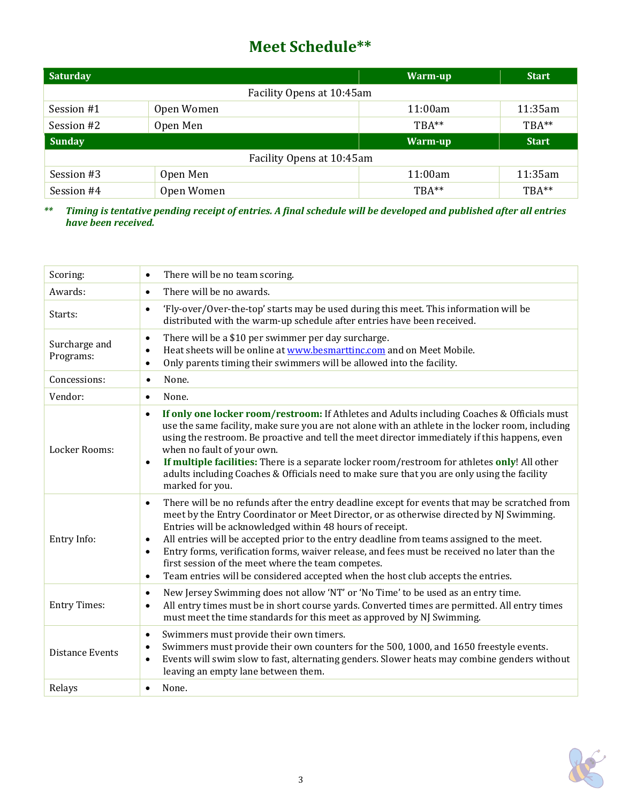# **Meet Schedule\*\***

| <b>Saturday</b>           |            | Warm-up  | <b>Start</b> |
|---------------------------|------------|----------|--------------|
| Facility Opens at 10:45am |            |          |              |
| Session #1                | Open Women | 11:00am  | 11:35am      |
| Session #2                | Open Men   | $TRA**$  | TBA**        |
| <b>Sunday</b>             |            | Warm-up  | <b>Start</b> |
| Facility Opens at 10:45am |            |          |              |
| Session #3                | Open Men   | 11:00am  | 11:35am      |
| Session #4                | Open Women | $TBA***$ | TBA**        |

\*\* Timing is tentative pending receipt of entries. A final schedule will be developed and published after all entries *have been received.*

| Scoring:                   | There will be no team scoring.<br>$\bullet$                                                                                                                                                                                                                                                                                                                                                                                                                                                                                                                                                                                                       |
|----------------------------|---------------------------------------------------------------------------------------------------------------------------------------------------------------------------------------------------------------------------------------------------------------------------------------------------------------------------------------------------------------------------------------------------------------------------------------------------------------------------------------------------------------------------------------------------------------------------------------------------------------------------------------------------|
| Awards:                    | There will be no awards.<br>$\bullet$                                                                                                                                                                                                                                                                                                                                                                                                                                                                                                                                                                                                             |
| Starts:                    | 'Fly-over/Over-the-top' starts may be used during this meet. This information will be<br>$\bullet$<br>distributed with the warm-up schedule after entries have been received.                                                                                                                                                                                                                                                                                                                                                                                                                                                                     |
| Surcharge and<br>Programs: | There will be a \$10 per swimmer per day surcharge.<br>$\bullet$<br>Heat sheets will be online at www.besmarttinc.com and on Meet Mobile.<br>$\bullet$<br>Only parents timing their swimmers will be allowed into the facility.<br>$\bullet$                                                                                                                                                                                                                                                                                                                                                                                                      |
| Concessions:               | None.<br>$\bullet$                                                                                                                                                                                                                                                                                                                                                                                                                                                                                                                                                                                                                                |
| Vendor:                    | None.<br>$\bullet$                                                                                                                                                                                                                                                                                                                                                                                                                                                                                                                                                                                                                                |
| Locker Rooms:              | If only one locker room/restroom: If Athletes and Adults including Coaches & Officials must<br>$\bullet$<br>use the same facility, make sure you are not alone with an athlete in the locker room, including<br>using the restroom. Be proactive and tell the meet director immediately if this happens, even<br>when no fault of your own.<br>If multiple facilities: There is a separate locker room/restroom for athletes only! All other<br>$\bullet$<br>adults including Coaches & Officials need to make sure that you are only using the facility<br>marked for you.                                                                       |
| Entry Info:                | There will be no refunds after the entry deadline except for events that may be scratched from<br>$\bullet$<br>meet by the Entry Coordinator or Meet Director, or as otherwise directed by NJ Swimming.<br>Entries will be acknowledged within 48 hours of receipt.<br>All entries will be accepted prior to the entry deadline from teams assigned to the meet.<br>$\bullet$<br>Entry forms, verification forms, waiver release, and fees must be received no later than the<br>$\bullet$<br>first session of the meet where the team competes.<br>Team entries will be considered accepted when the host club accepts the entries.<br>$\bullet$ |
| <b>Entry Times:</b>        | New Jersey Swimming does not allow 'NT' or 'No Time' to be used as an entry time.<br>$\bullet$<br>All entry times must be in short course yards. Converted times are permitted. All entry times<br>$\bullet$<br>must meet the time standards for this meet as approved by NJ Swimming.                                                                                                                                                                                                                                                                                                                                                            |
| <b>Distance Events</b>     | Swimmers must provide their own timers.<br>$\bullet$<br>Swimmers must provide their own counters for the 500, 1000, and 1650 freestyle events.<br>$\bullet$<br>Events will swim slow to fast, alternating genders. Slower heats may combine genders without<br>$\bullet$<br>leaving an empty lane between them.                                                                                                                                                                                                                                                                                                                                   |
| Relays                     | None.<br>$\bullet$                                                                                                                                                                                                                                                                                                                                                                                                                                                                                                                                                                                                                                |

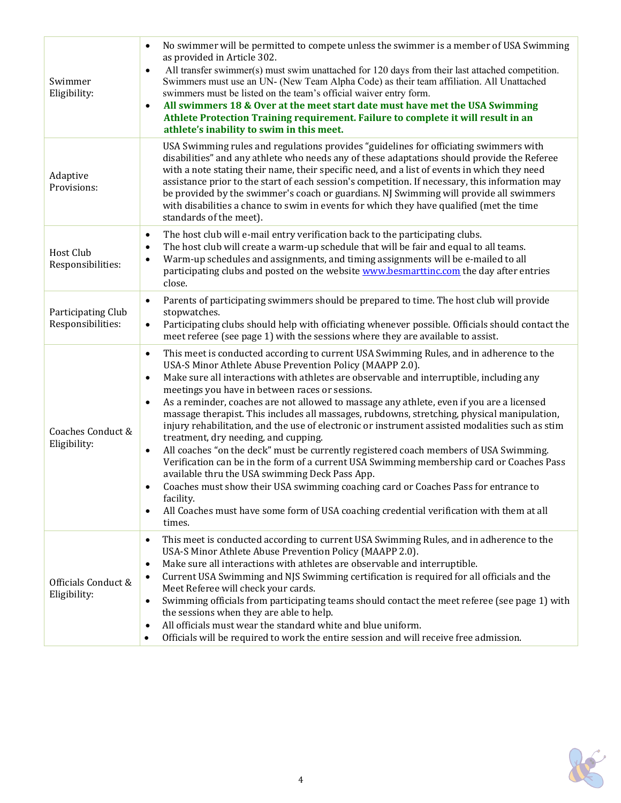| Swimmer<br>Eligibility:                 | No swimmer will be permitted to compete unless the swimmer is a member of USA Swimming<br>$\bullet$<br>as provided in Article 302.<br>All transfer swimmer(s) must swim unattached for 120 days from their last attached competition.<br>$\bullet$<br>Swimmers must use an UN- (New Team Alpha Code) as their team affiliation. All Unattached<br>swimmers must be listed on the team's official waiver entry form.<br>All swimmers 18 & Over at the meet start date must have met the USA Swimming<br>$\bullet$<br>Athlete Protection Training requirement. Failure to complete it will result in an<br>athlete's inability to swim in this meet.                                                                                                                                                                                                                                                                                                                                                                                                                                                                                                               |
|-----------------------------------------|------------------------------------------------------------------------------------------------------------------------------------------------------------------------------------------------------------------------------------------------------------------------------------------------------------------------------------------------------------------------------------------------------------------------------------------------------------------------------------------------------------------------------------------------------------------------------------------------------------------------------------------------------------------------------------------------------------------------------------------------------------------------------------------------------------------------------------------------------------------------------------------------------------------------------------------------------------------------------------------------------------------------------------------------------------------------------------------------------------------------------------------------------------------|
| Adaptive<br>Provisions:                 | USA Swimming rules and regulations provides "guidelines for officiating swimmers with<br>disabilities" and any athlete who needs any of these adaptations should provide the Referee<br>with a note stating their name, their specific need, and a list of events in which they need<br>assistance prior to the start of each session's competition. If necessary, this information may<br>be provided by the swimmer's coach or guardians. NJ Swimming will provide all swimmers<br>with disabilities a chance to swim in events for which they have qualified (met the time<br>standards of the meet).                                                                                                                                                                                                                                                                                                                                                                                                                                                                                                                                                         |
| <b>Host Club</b><br>Responsibilities:   | The host club will e-mail entry verification back to the participating clubs.<br>$\bullet$<br>The host club will create a warm-up schedule that will be fair and equal to all teams.<br>$\bullet$<br>Warm-up schedules and assignments, and timing assignments will be e-mailed to all<br>$\bullet$<br>participating clubs and posted on the website www.besmarttinc.com the day after entries<br>close.                                                                                                                                                                                                                                                                                                                                                                                                                                                                                                                                                                                                                                                                                                                                                         |
| Participating Club<br>Responsibilities: | Parents of participating swimmers should be prepared to time. The host club will provide<br>$\bullet$<br>stopwatches.<br>Participating clubs should help with officiating whenever possible. Officials should contact the<br>$\bullet$<br>meet referee (see page 1) with the sessions where they are available to assist.                                                                                                                                                                                                                                                                                                                                                                                                                                                                                                                                                                                                                                                                                                                                                                                                                                        |
| Coaches Conduct &<br>Eligibility:       | This meet is conducted according to current USA Swimming Rules, and in adherence to the<br>$\bullet$<br>USA-S Minor Athlete Abuse Prevention Policy (MAAPP 2.0).<br>Make sure all interactions with athletes are observable and interruptible, including any<br>$\bullet$<br>meetings you have in between races or sessions.<br>As a reminder, coaches are not allowed to massage any athlete, even if you are a licensed<br>$\bullet$<br>massage therapist. This includes all massages, rubdowns, stretching, physical manipulation,<br>injury rehabilitation, and the use of electronic or instrument assisted modalities such as stim<br>treatment, dry needing, and cupping.<br>All coaches "on the deck" must be currently registered coach members of USA Swimming.<br>$\bullet$<br>Verification can be in the form of a current USA Swimming membership card or Coaches Pass<br>available thru the USA swimming Deck Pass App.<br>Coaches must show their USA swimming coaching card or Coaches Pass for entrance to<br>٠<br>facility.<br>All Coaches must have some form of USA coaching credential verification with them at all<br>$\bullet$<br>times. |
| Officials Conduct &<br>Eligibility:     | This meet is conducted according to current USA Swimming Rules, and in adherence to the<br>$\bullet$<br>USA-S Minor Athlete Abuse Prevention Policy (MAAPP 2.0).<br>Make sure all interactions with athletes are observable and interruptible.<br>$\bullet$<br>Current USA Swimming and NJS Swimming certification is required for all officials and the<br>$\bullet$<br>Meet Referee will check your cards.<br>Swimming officials from participating teams should contact the meet referee (see page 1) with<br>$\bullet$<br>the sessions when they are able to help.<br>All officials must wear the standard white and blue uniform.<br>$\bullet$<br>Officials will be required to work the entire session and will receive free admission.<br>$\bullet$                                                                                                                                                                                                                                                                                                                                                                                                       |

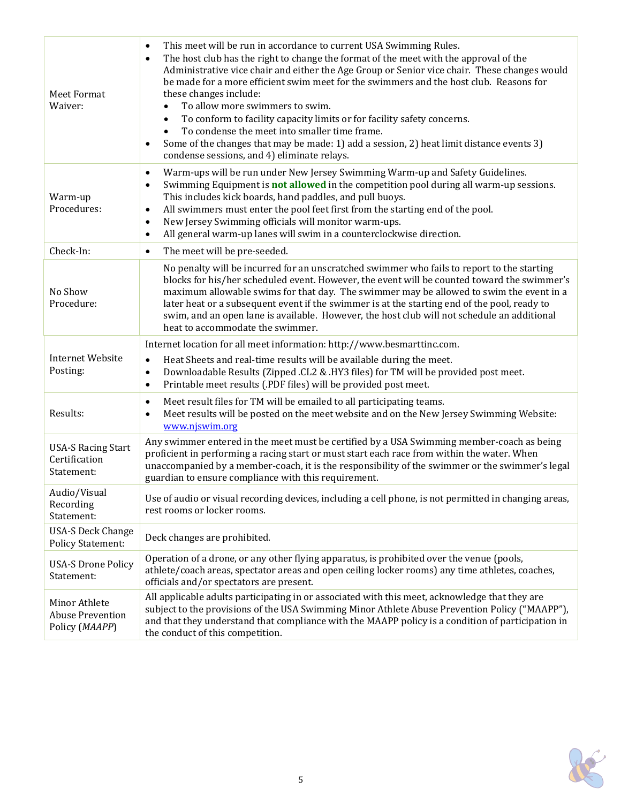| <b>Meet Format</b><br>Waiver:                              | This meet will be run in accordance to current USA Swimming Rules.<br>$\bullet$<br>The host club has the right to change the format of the meet with the approval of the<br>$\bullet$<br>Administrative vice chair and either the Age Group or Senior vice chair. These changes would<br>be made for a more efficient swim meet for the swimmers and the host club. Reasons for<br>these changes include:<br>To allow more swimmers to swim.<br>$\bullet$<br>To conform to facility capacity limits or for facility safety concerns.<br>$\bullet$<br>To condense the meet into smaller time frame.<br>$\bullet$<br>Some of the changes that may be made: 1) add a session, 2) heat limit distance events 3)<br>$\bullet$<br>condense sessions, and 4) eliminate relays. |
|------------------------------------------------------------|-------------------------------------------------------------------------------------------------------------------------------------------------------------------------------------------------------------------------------------------------------------------------------------------------------------------------------------------------------------------------------------------------------------------------------------------------------------------------------------------------------------------------------------------------------------------------------------------------------------------------------------------------------------------------------------------------------------------------------------------------------------------------|
| Warm-up<br>Procedures:                                     | Warm-ups will be run under New Jersey Swimming Warm-up and Safety Guidelines.<br>$\bullet$<br>Swimming Equipment is <b>not allowed</b> in the competition pool during all warm-up sessions.<br>$\bullet$<br>This includes kick boards, hand paddles, and pull buoys.<br>All swimmers must enter the pool feet first from the starting end of the pool.<br>$\bullet$<br>New Jersey Swimming officials will monitor warm-ups.<br>$\bullet$<br>All general warm-up lanes will swim in a counterclockwise direction.<br>$\bullet$                                                                                                                                                                                                                                           |
| Check-In:                                                  | The meet will be pre-seeded.<br>$\bullet$                                                                                                                                                                                                                                                                                                                                                                                                                                                                                                                                                                                                                                                                                                                               |
| No Show<br>Procedure:                                      | No penalty will be incurred for an unscratched swimmer who fails to report to the starting<br>blocks for his/her scheduled event. However, the event will be counted toward the swimmer's<br>maximum allowable swims for that day. The swimmer may be allowed to swim the event in a<br>later heat or a subsequent event if the swimmer is at the starting end of the pool, ready to<br>swim, and an open lane is available. However, the host club will not schedule an additional<br>heat to accommodate the swimmer.                                                                                                                                                                                                                                                 |
| <b>Internet Website</b><br>Posting:                        | Internet location for all meet information: http://www.besmarttinc.com.<br>Heat Sheets and real-time results will be available during the meet.<br>$\bullet$<br>Downloadable Results (Zipped .CL2 & .HY3 files) for TM will be provided post meet.<br>$\bullet$<br>Printable meet results (.PDF files) will be provided post meet.<br>$\bullet$                                                                                                                                                                                                                                                                                                                                                                                                                         |
| Results:                                                   | Meet result files for TM will be emailed to all participating teams.<br>$\bullet$<br>Meet results will be posted on the meet website and on the New Jersey Swimming Website:<br>$\bullet$<br>www.njswim.org                                                                                                                                                                                                                                                                                                                                                                                                                                                                                                                                                             |
| <b>USA-S Racing Start</b><br>Certification<br>Statement:   | Any swimmer entered in the meet must be certified by a USA Swimming member-coach as being<br>proficient in performing a racing start or must start each race from within the water. When<br>unaccompanied by a member-coach, it is the responsibility of the swimmer or the swimmer's legal<br>guardian to ensure compliance with this requirement.                                                                                                                                                                                                                                                                                                                                                                                                                     |
| Audio/Visual<br>Recording<br>Statement:                    | Use of audio or visual recording devices, including a cell phone, is not permitted in changing areas,<br>rest rooms or locker rooms.                                                                                                                                                                                                                                                                                                                                                                                                                                                                                                                                                                                                                                    |
| <b>USA-S Deck Change</b><br><b>Policy Statement:</b>       | Deck changes are prohibited.                                                                                                                                                                                                                                                                                                                                                                                                                                                                                                                                                                                                                                                                                                                                            |
| <b>USA-S Drone Policy</b><br>Statement:                    | Operation of a drone, or any other flying apparatus, is prohibited over the venue (pools,<br>athlete/coach areas, spectator areas and open ceiling locker rooms) any time athletes, coaches,<br>officials and/or spectators are present.                                                                                                                                                                                                                                                                                                                                                                                                                                                                                                                                |
| Minor Athlete<br><b>Abuse Prevention</b><br>Policy (MAAPP) | All applicable adults participating in or associated with this meet, acknowledge that they are<br>subject to the provisions of the USA Swimming Minor Athlete Abuse Prevention Policy ("MAAPP"),<br>and that they understand that compliance with the MAAPP policy is a condition of participation in<br>the conduct of this competition.                                                                                                                                                                                                                                                                                                                                                                                                                               |

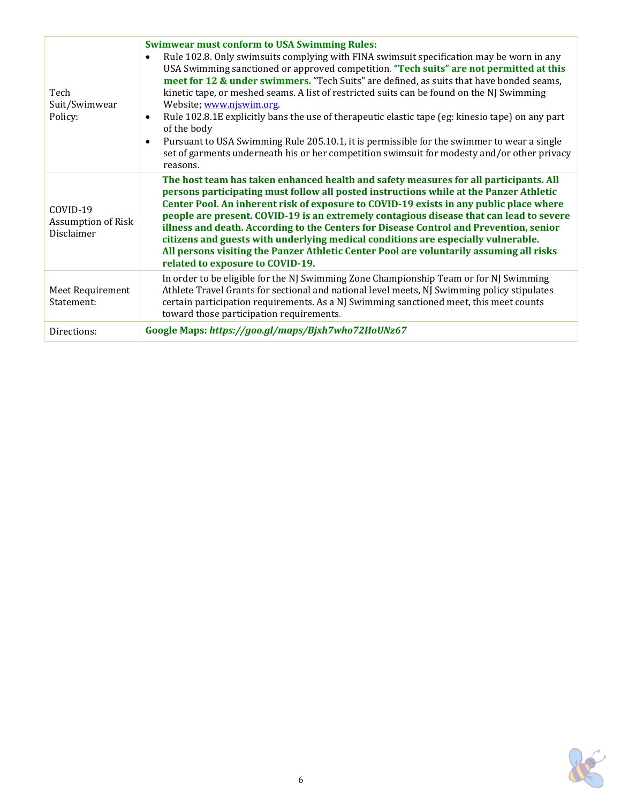| Tech<br>Suit/Swimwear<br>Policy:             | <b>Swimwear must conform to USA Swimming Rules:</b><br>Rule 102.8. Only swimsuits complying with FINA swimsuit specification may be worn in any<br>$\bullet$<br>USA Swimming sanctioned or approved competition. "Tech suits" are not permitted at this<br>meet for 12 & under swimmers. "Tech Suits" are defined, as suits that have bonded seams,<br>kinetic tape, or meshed seams. A list of restricted suits can be found on the NJ Swimming<br>Website; www.niswim.org<br>Rule 102.8.1E explicitly bans the use of therapeutic elastic tape (eg: kinesio tape) on any part<br>$\bullet$<br>of the body<br>Pursuant to USA Swimming Rule 205.10.1, it is permissible for the swimmer to wear a single<br>$\bullet$<br>set of garments underneath his or her competition swimsuit for modesty and/or other privacy<br>reasons. |
|----------------------------------------------|-----------------------------------------------------------------------------------------------------------------------------------------------------------------------------------------------------------------------------------------------------------------------------------------------------------------------------------------------------------------------------------------------------------------------------------------------------------------------------------------------------------------------------------------------------------------------------------------------------------------------------------------------------------------------------------------------------------------------------------------------------------------------------------------------------------------------------------|
| COVID-19<br>Assumption of Risk<br>Disclaimer | The host team has taken enhanced health and safety measures for all participants. All<br>persons participating must follow all posted instructions while at the Panzer Athletic<br>Center Pool. An inherent risk of exposure to COVID-19 exists in any public place where<br>people are present. COVID-19 is an extremely contagious disease that can lead to severe<br>illness and death. According to the Centers for Disease Control and Prevention, senior<br>citizens and guests with underlying medical conditions are especially vulnerable.<br>All persons visiting the Panzer Athletic Center Pool are voluntarily assuming all risks<br>related to exposure to COVID-19.                                                                                                                                                |
| Meet Requirement<br>Statement:               | In order to be eligible for the NJ Swimming Zone Championship Team or for NJ Swimming<br>Athlete Travel Grants for sectional and national level meets, NJ Swimming policy stipulates<br>certain participation requirements. As a NJ Swimming sanctioned meet, this meet counts<br>toward those participation requirements.                                                                                                                                                                                                                                                                                                                                                                                                                                                                                                        |
| Directions:                                  | Google Maps: https://goo.gl/maps/Bjxh7who72HoUNz67                                                                                                                                                                                                                                                                                                                                                                                                                                                                                                                                                                                                                                                                                                                                                                                |

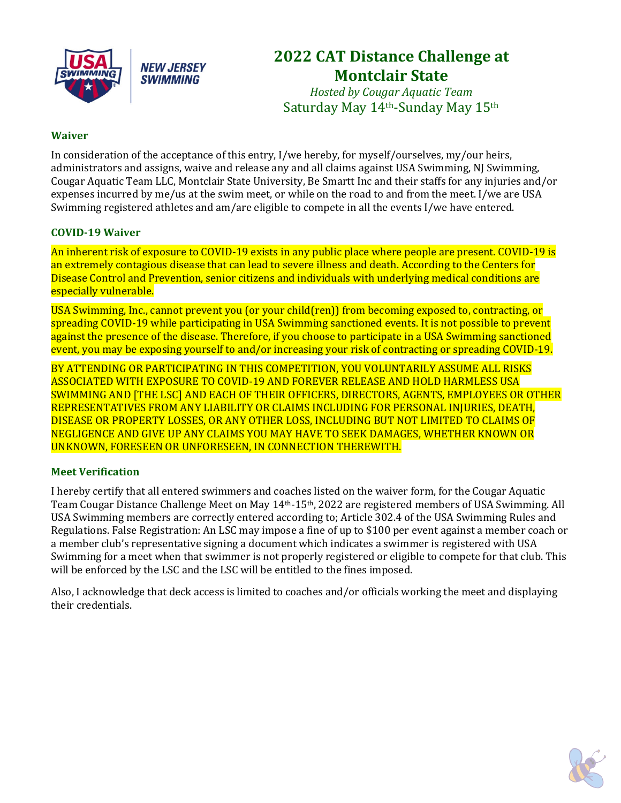

# **2022 CAT Distance Challenge at Montclair State**

*Hosted by Cougar Aquatic Team* Saturday May 14th-Sunday May 15th

#### **Waiver**

In consideration of the acceptance of this entry, I/we hereby, for myself/ourselves, my/our heirs, administrators and assigns, waive and release any and all claims against USA Swimming, NJ Swimming, Cougar Aquatic Team LLC, Montclair State University, Be Smartt Inc and their staffs for any injuries and/or expenses incurred by me/us at the swim meet, or while on the road to and from the meet. I/we are USA Swimming registered athletes and am/are eligible to compete in all the events I/we have entered.

#### **COVID‐19 Waiver**

An inherent risk of exposure to COVID-19 exists in any public place where people are present. COVID-19 is an extremely contagious disease that can lead to severe illness and death. According to the Centers for Disease Control and Prevention, senior citizens and individuals with underlying medical conditions are especially vulnerable.

USA Swimming, Inc., cannot prevent you (or your child(ren)) from becoming exposed to, contracting, or spreading COVID-19 while participating in USA Swimming sanctioned events. It is not possible to prevent against the presence of the disease. Therefore, if you choose to participate in a USA Swimming sanctioned event, you may be exposing yourself to and/or increasing your risk of contracting or spreading COVID-19.

BY ATTENDING OR PARTICIPATING IN THIS COMPETITION, YOU VOLUNTARILY ASSUME ALL RISKS ASSOCIATED WITH EXPOSURE TO COVID-19 AND FOREVER RELEASE AND HOLD HARMLESS USA SWIMMING AND [THE LSC] AND EACH OF THEIR OFFICERS, DIRECTORS, AGENTS, EMPLOYEES OR OTHER REPRESENTATIVES FROM ANY LIABILITY OR CLAIMS INCLUDING FOR PERSONAL INJURIES, DEATH, DISEASE OR PROPERTY LOSSES, OR ANY OTHER LOSS, INCLUDING BUT NOT LIMITED TO CLAIMS OF NEGLIGENCE AND GIVE UP ANY CLAIMS YOU MAY HAVE TO SEEK DAMAGES, WHETHER KNOWN OR UNKNOWN, FORESEEN OR UNFORESEEN, IN CONNECTION THEREWITH.

#### **Meet Verification**

I hereby certify that all entered swimmers and coaches listed on the waiver form, for the Cougar Aquatic Team Cougar Distance Challenge Meet on May 14<sup>th</sup>-15<sup>th</sup>, 2022 are registered members of USA Swimming. All USA Swimming members are correctly entered according to; Article 302.4 of the USA Swimming Rules and Regulations. False Registration: An LSC may impose a fine of up to \$100 per event against a member coach or a member club's representative signing a document which indicates a swimmer is registered with USA Swimming for a meet when that swimmer is not properly registered or eligible to compete for that club. This will be enforced by the LSC and the LSC will be entitled to the fines imposed.

Also, I acknowledge that deck access is limited to coaches and/or officials working the meet and displaying their credentials.

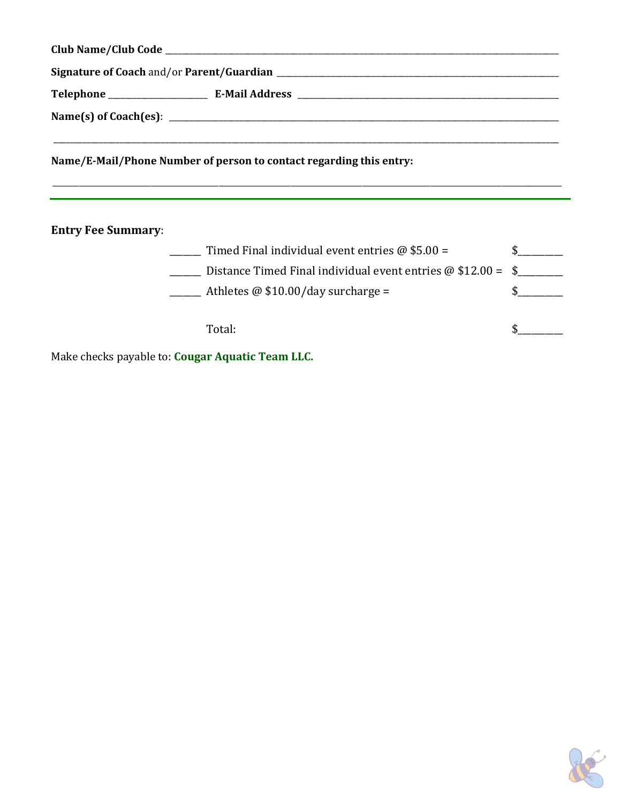\_\_\_\_\_\_\_\_\_\_\_\_\_\_\_\_\_\_\_\_\_\_\_\_\_\_\_\_\_\_\_\_\_\_\_\_\_\_\_\_\_\_\_\_\_\_\_\_\_\_\_\_\_\_\_\_\_\_\_\_\_\_\_\_\_\_\_\_\_\_\_\_\_\_\_\_\_\_\_\_\_\_\_\_\_\_\_\_\_\_\_\_\_\_\_\_\_\_\_\_\_\_\_\_\_\_\_\_\_\_\_\_\_\_\_\_\_\_\_\_\_\_\_\_\_\_\_\_\_\_\_\_\_\_\_

**Name/E‐Mail/Phone Number of person to contact regarding this entry:**

**Entry Fee Summary**:

| Timed Final individual event entries $\omega$ \$5.00 =              |  |
|---------------------------------------------------------------------|--|
| Distance Timed Final individual event entries $\omega$ \$12.00 = \$ |  |
| Athletes $\omega$ \$10.00/day surcharge =                           |  |

Total: \$\_\_\_\_\_\_\_\_\_\_

Make checks payable to: **Cougar Aquatic Team LLC.**